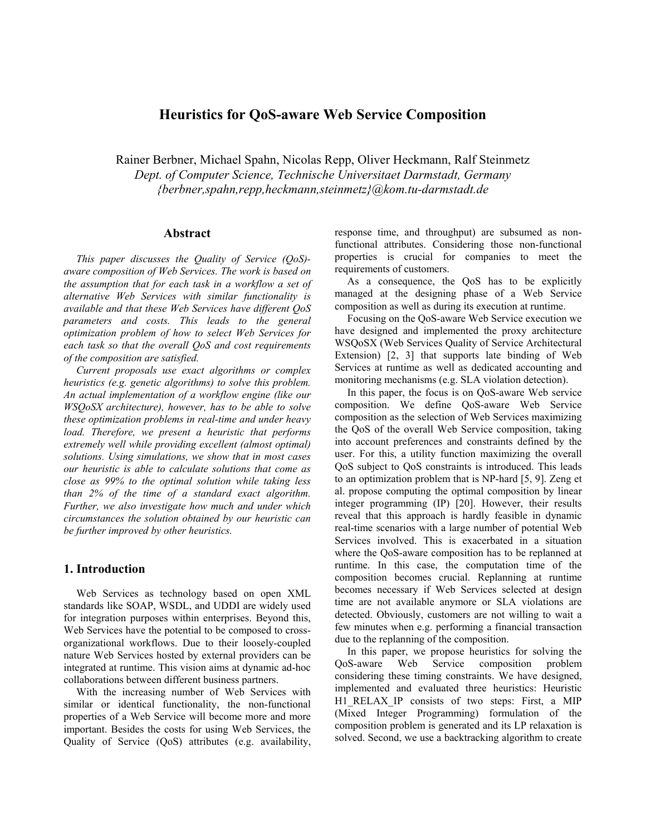# **Heuristics for QoS-aware Web Service Composition**

Rainer Berbner, Michael Spahn, Nicolas Repp, Oliver Heckmann, Ralf Steinmetz *Dept. of Computer Science, Technische Universitaet Darmstadt, Germany {berbner,spahn,repp,heckmann,steinmetz}@kom.tu-darmstadt.de* 

#### **Abstract**

*This paper discusses the Quality of Service (QoS) aware composition of Web Services. The work is based on the assumption that for each task in a workflow a set of alternative Web Services with similar functionality is available and that these Web Services have different QoS parameters and costs. This leads to the general optimization problem of how to select Web Services for each task so that the overall QoS and cost requirements of the composition are satisfied.* 

*Current proposals use exact algorithms or complex heuristics (e.g. genetic algorithms) to solve this problem. An actual implementation of a workflow engine (like our WSQoSX architecture), however, has to be able to solve these optimization problems in real-time and under heavy load. Therefore, we present a heuristic that performs extremely well while providing excellent (almost optimal) solutions. Using simulations, we show that in most cases our heuristic is able to calculate solutions that come as close as 99% to the optimal solution while taking less than 2% of the time of a standard exact algorithm. Further, we also investigate how much and under which circumstances the solution obtained by our heuristic can be further improved by other heuristics.* 

## **1. Introduction**

Web Services as technology based on open XML standards like SOAP, WSDL, and UDDI are widely used for integration purposes within enterprises. Beyond this, Web Services have the potential to be composed to crossorganizational workflows. Due to their loosely-coupled nature Web Services hosted by external providers can be integrated at runtime. This vision aims at dynamic ad-hoc collaborations between different business partners.

With the increasing number of Web Services with similar or identical functionality, the non-functional properties of a Web Service will become more and more important. Besides the costs for using Web Services, the Quality of Service (QoS) attributes (e.g. availability, response time, and throughput) are subsumed as nonfunctional attributes. Considering those non-functional properties is crucial for companies to meet the requirements of customers.

As a consequence, the QoS has to be explicitly managed at the designing phase of a Web Service composition as well as during its execution at runtime.

Focusing on the QoS-aware Web Service execution we have designed and implemented the proxy architecture WSQoSX (Web Services Quality of Service Architectural Extension) [2, 3] that supports late binding of Web Services at runtime as well as dedicated accounting and monitoring mechanisms (e.g. SLA violation detection).

In this paper, the focus is on QoS-aware Web service composition. We define QoS-aware Web Service composition as the selection of Web Services maximizing the QoS of the overall Web Service composition, taking into account preferences and constraints defined by the user. For this, a utility function maximizing the overall QoS subject to QoS constraints is introduced. This leads to an optimization problem that is NP-hard [5, 9]. Zeng et al. propose computing the optimal composition by linear integer programming (IP) [20]. However, their results reveal that this approach is hardly feasible in dynamic real-time scenarios with a large number of potential Web Services involved. This is exacerbated in a situation where the QoS-aware composition has to be replanned at runtime. In this case, the computation time of the composition becomes crucial. Replanning at runtime becomes necessary if Web Services selected at design time are not available anymore or SLA violations are detected. Obviously, customers are not willing to wait a few minutes when e.g. performing a financial transaction due to the replanning of the composition.

In this paper, we propose heuristics for solving the QoS-aware Web Service composition problem considering these timing constraints. We have designed, implemented and evaluated three heuristics: Heuristic H1 RELAX IP consists of two steps: First, a MIP (Mixed Integer Programming) formulation of the composition problem is generated and its LP relaxation is solved. Second, we use a backtracking algorithm to create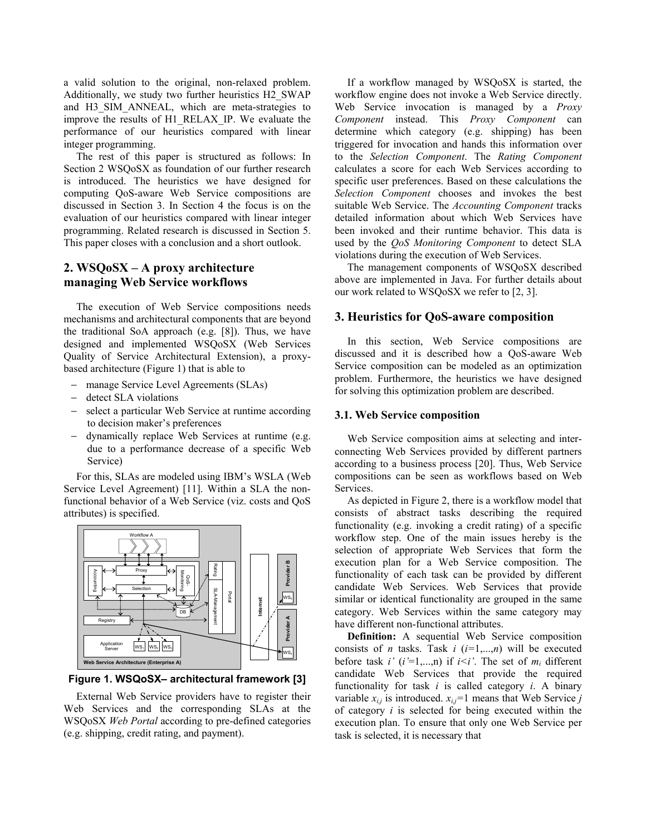a valid solution to the original, non-relaxed problem. Additionally, we study two further heuristics H2\_SWAP and H3 SIM ANNEAL, which are meta-strategies to improve the results of H1\_RELAX\_IP. We evaluate the performance of our heuristics compared with linear integer programming.

The rest of this paper is structured as follows: In Section 2 WSQoSX as foundation of our further research is introduced. The heuristics we have designed for computing QoS-aware Web Service compositions are discussed in Section 3. In Section 4 the focus is on the evaluation of our heuristics compared with linear integer programming. Related research is discussed in Section 5. This paper closes with a conclusion and a short outlook.

## **2. WSQoSX – A proxy architecture managing Web Service workflows**

The execution of Web Service compositions needs mechanisms and architectural components that are beyond the traditional SoA approach (e.g. [8]). Thus, we have designed and implemented WSQoSX (Web Services Quality of Service Architectural Extension), a proxybased architecture (Figure 1) that is able to

- − manage Service Level Agreements (SLAs)
- − detect SLA violations
- − select a particular Web Service at runtime according to decision maker's preferences
- − dynamically replace Web Services at runtime (e.g. due to a performance decrease of a specific Web Service)

For this, SLAs are modeled using IBM's WSLA (Web Service Level Agreement) [11]. Within a SLA the nonfunctional behavior of a Web Service (viz. costs and QoS attributes) is specified.



**Figure 1. WSQoSX– architectural framework [3]** 

External Web Service providers have to register their Web Services and the corresponding SLAs at the WSQoSX *Web Portal* according to pre-defined categories (e.g. shipping, credit rating, and payment).

If a workflow managed by WSQoSX is started, the workflow engine does not invoke a Web Service directly. Web Service invocation is managed by a *Proxy Component* instead. This *Proxy Component* can determine which category (e.g. shipping) has been triggered for invocation and hands this information over to the *Selection Component*. The *Rating Component* calculates a score for each Web Services according to specific user preferences. Based on these calculations the *Selection Component* chooses and invokes the best suitable Web Service. The *Accounting Component* tracks detailed information about which Web Services have been invoked and their runtime behavior. This data is used by the *QoS Monitoring Component* to detect SLA violations during the execution of Web Services.

The management components of WSQoSX described above are implemented in Java. For further details about our work related to WSQoSX we refer to [2, 3].

#### **3. Heuristics for QoS-aware composition**

In this section, Web Service compositions are discussed and it is described how a QoS-aware Web Service composition can be modeled as an optimization problem. Furthermore, the heuristics we have designed for solving this optimization problem are described.

#### **3.1. Web Service composition**

Web Service composition aims at selecting and interconnecting Web Services provided by different partners according to a business process [20]. Thus, Web Service compositions can be seen as workflows based on Web Services.

As depicted in Figure 2, there is a workflow model that consists of abstract tasks describing the required functionality (e.g. invoking a credit rating) of a specific workflow step. One of the main issues hereby is the selection of appropriate Web Services that form the execution plan for a Web Service composition. The functionality of each task can be provided by different candidate Web Services. Web Services that provide similar or identical functionality are grouped in the same category. Web Services within the same category may have different non-functional attributes.

**Definition:** A sequential Web Service composition consists of *n* tasks. Task  $i$  ( $i=1,...,n$ ) will be executed before task  $i'$  ( $i'=1,...,n$ ) if  $i < i'$ . The set of  $m_i$  different candidate Web Services that provide the required functionality for task *i* is called category *i*. A binary variable  $x_{i,j}$  is introduced.  $x_{i,j}=1$  means that Web Service *j* of category *i* is selected for being executed within the execution plan. To ensure that only one Web Service per task is selected, it is necessary that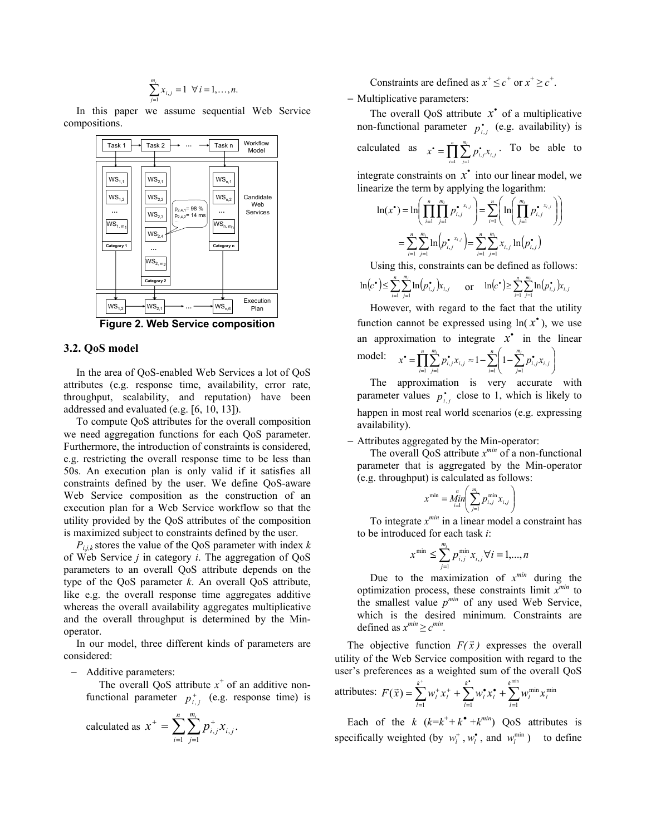$$
\sum_{j=1}^{m_i} x_{i,j} = 1 \ \forall \, i = 1, \dots, n.
$$

In this paper we assume sequential Web Service compositions.



**Figure 2. Web Service composition** 

### **3.2. QoS model**

In the area of QoS-enabled Web Services a lot of QoS attributes (e.g. response time, availability, error rate, throughput, scalability, and reputation) have been addressed and evaluated (e.g. [6, 10, 13]).

To compute QoS attributes for the overall composition we need aggregation functions for each QoS parameter. Furthermore, the introduction of constraints is considered, e.g. restricting the overall response time to be less than 50s. An execution plan is only valid if it satisfies all constraints defined by the user. We define QoS-aware Web Service composition as the construction of an execution plan for a Web Service workflow so that the utility provided by the QoS attributes of the composition is maximized subject to constraints defined by the user.

 $P_{i,j,k}$  stores the value of the QoS parameter with index  $k$ of Web Service *j* in category *i*. The aggregation of QoS parameters to an overall QoS attribute depends on the type of the QoS parameter *k*. An overall QoS attribute, like e.g. the overall response time aggregates additive whereas the overall availability aggregates multiplicative and the overall throughput is determined by the Minoperator.

In our model, three different kinds of parameters are considered:

− Additive parameters:

The overall QoS attribute  $x^+$  of an additive nonfunctional parameter  $p_{i,j}^+$  (e.g. response time) is

calculated as 
$$
x^+ = \sum_{i=1}^n \sum_{j=1}^{m_i} p^+_{i,j} x_{i,j}
$$
.

Constraints are defined as  $x^+ \leq c^+$  or  $x^+ \geq c^+$ .

− Multiplicative parameters:

The overall QoS attribute  $x^*$  of a multiplicative non-functional parameter  $p_{i,j}^*$  (e.g. availability) is calculated as  $x^* = \prod_{i=1}^n \sum_{j=1}^{m_i} p_i^*$ *i j*  $i, j''$  $i, j$  $x^* = \prod_{i=1}^n \sum_{j=1}^{m_i} p_{i,j}^* x_{i,j}$ . To be able to  $-1$   $j=1$ integrate constraints on  $x^*$  into our linear model, we

linearize the term by applying the logarithm:

$$
\ln(x^{\bullet}) = \ln\left(\prod_{i=1}^{n} \prod_{j=1}^{m_i} p_{i,j}^{\bullet, x_{i,j}}\right) = \sum_{i=1}^{n} \left(\ln\left(\prod_{j=1}^{m_i} p_{i,j}^{\bullet, x_{i,j}}\right)\right)
$$

$$
= \sum_{i=1}^{n} \sum_{j=1}^{m_i} \ln\left(p_{i,j}^{\bullet, x_{i,j}}\right) = \sum_{i=1}^{n} \sum_{j=1}^{m_i} x_{i,j} \ln\left(p_{i,j}^{\bullet}\right)
$$

Using this, constraints can be defined as follows:

$$
\ln(c^{\bullet}) \leq \sum_{i=1}^{n} \sum_{j=1}^{m_i} \ln(p_{i,j}^{\bullet}) x_{i,j} \qquad \text{or} \qquad \ln(c^{\bullet}) \geq \sum_{i=1}^{n} \sum_{j=1}^{m_i} \ln(p_{i,j}^{\bullet}) x_{i,j}
$$

However, with regard to the fact that the utility function cannot be expressed using  $ln(x^{\bullet})$ , we use an approximation to integrate  $x^*$  in the linear model:  $x^* = \prod_{i=1}^n \sum_{j=1}^{m_i} p_{i,j}^* x_{i,j} \approx 1 - \sum_{i=1}^n \left(1 - \sum_{j=1}^{m_i} p_{i,j}^* + \sum_{j=1}^{m_i} p_{i,j}^* + \sum_{j=1}^{m_i} p_{i,j}^* + \sum_{j=1}^{m_i} p_{i,j}^* + \sum_{j=1}^{m_i} p_{i,j}^* + \sum_{j=1}^{m_i} p_{i,j}^* + \sum_{j=1}^{m_i} p_{i,j}^* + \sum_{j=1}^{m_i} p_{i,j}^* + \sum_{j=1$ =  $\boldsymbol{\cdot} = \prod \sum p_{i,j}^{\star} x_{i,j} \approx 1 - \sum \left| 1 - \sum p_{i,j}^{\star} x_{i,j} \right|$ ⎠ ⎞  $\parallel$ ⎝  $=\prod_{i=1}^{n}\sum_{j=1}^{m_i}p_{i,j}^{*}x_{i,j} \approx 1-\sum_{i=1}^{n}\left(1-\frac{1}{n}\right)$ *i n i m*  $\sum_{j=1}$   $P_{i,j}$   $\mathcal{N}_{i,j}$ *m*  $\sum_{j=1}$   $P_{i,j}$   $\mathcal{N}_{i,j}$  $x^* = \prod_{i=1}^n \sum_{i=1}^{m_i} p_{i,i}^* x_{i,i} \approx 1 - \sum_{i=1}^n \left(1 - \sum_{i=1}^{m_i} p_{i,i}^* x_i\right)$  $\sum_{i=1} P_{i,j}^{\bullet} x_{i,j} \approx 1 - \sum_{i=1} |1 - \sum_{j=1} P_{i,j}^{\bullet} x_{i,j}|$ 

The approximation is very accurate with parameter values  $p_{i,j}^*$  close to 1, which is likely to happen in most real world scenarios (e.g. expressing availability).

### − Attributes aggregated by the Min-operator:

The overall QoS attribute  $x^{min}$  of a non-functional parameter that is aggregated by the Min-operator (e.g. throughput) is calculated as follows:

$$
x^{\min} = \underset{i=1}{\text{Min}} \left( \sum_{j=1}^{m_i} p_{i,j}^{\min} x_{i,j} \right)
$$

To integrate  $x^{min}$  in a linear model a constraint has to be introduced for each task *i*:

$$
x^{\min} \le \sum_{j=1}^{m_i} p_{i,j}^{\min} x_{i,j} \forall i = 1,...,n
$$

Due to the maximization of  $x^{min}$  during the optimization process, these constraints limit  $\bar{x}^{min}$  to the smallest value  $p^{min}$  of any used Web Service, which is the desired minimum. Constraints are defined as  $x^{min} \geq c^{min}$ .

The objective function  $F(\vec{x})$  expresses the overall utility of the Web Service composition with regard to the user's preferences as a weighted sum of the overall QoS

attributes: 
$$
F(\vec{x}) = \sum_{l=1}^{k^+} w_l^+ x_l^+ + \sum_{l=1}^{k^+} w_l^* x_l^+ + \sum_{l=1}^{k^{min}} w_l^{min} x_l^{min}
$$

Each of the  $k (k=k^+ + k^{\bullet} + k^{min})$  QoS attributes is specifically weighted (by  $w_i^+$ ,  $w_i^*$ , and  $w_i^{\min}$ ) to define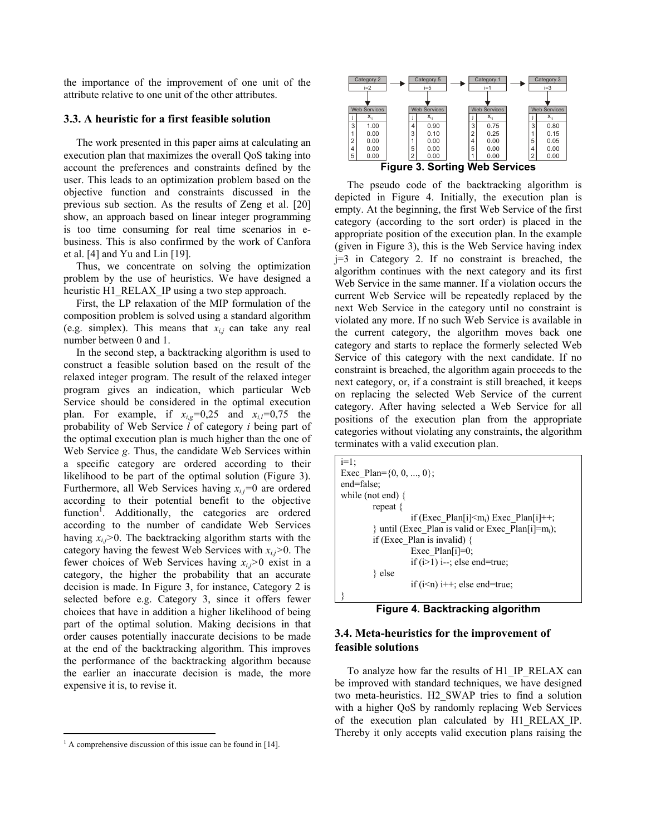the importance of the improvement of one unit of the attribute relative to one unit of the other attributes.

#### **3.3. A heuristic for a first feasible solution**

The work presented in this paper aims at calculating an execution plan that maximizes the overall QoS taking into account the preferences and constraints defined by the user. This leads to an optimization problem based on the objective function and constraints discussed in the previous sub section. As the results of Zeng et al. [20] show, an approach based on linear integer programming is too time consuming for real time scenarios in ebusiness. This is also confirmed by the work of Canfora et al. [4] and Yu and Lin [19].

Thus, we concentrate on solving the optimization problem by the use of heuristics. We have designed a heuristic H1\_RELAX\_IP using a two step approach.

First, the LP relaxation of the MIP formulation of the composition problem is solved using a standard algorithm (e.g. simplex). This means that  $x_{i,j}$  can take any real number between 0 and 1.

In the second step, a backtracking algorithm is used to construct a feasible solution based on the result of the relaxed integer program. The result of the relaxed integer program gives an indication, which particular Web Service should be considered in the optimal execution plan. For example, if  $x_{i,g}=0,25$  and  $x_{i,l}=0,75$  the probability of Web Service *l* of category *i* being part of the optimal execution plan is much higher than the one of Web Service *g*. Thus, the candidate Web Services within a specific category are ordered according to their likelihood to be part of the optimal solution (Figure 3). Furthermore, all Web Services having  $x_{i,j}=0$  are ordered according to their potential benefit to the objective function<sup>1</sup>. Additionally, the categories are ordered according to the number of candidate Web Services having  $x_{i,j}$ >0. The backtracking algorithm starts with the category having the fewest Web Services with  $x_{i,j}$ >0. The fewer choices of Web Services having  $x_{i,j}$ >0 exist in a category, the higher the probability that an accurate decision is made. In Figure 3, for instance, Category 2 is selected before e.g. Category 3, since it offers fewer choices that have in addition a higher likelihood of being part of the optimal solution. Making decisions in that order causes potentially inaccurate decisions to be made at the end of the backtracking algorithm. This improves the performance of the backtracking algorithm because the earlier an inaccurate decision is made, the more expensive it is, to revise it.

 $\overline{a}$ 



The pseudo code of the backtracking algorithm is depicted in Figure 4. Initially, the execution plan is empty. At the beginning, the first Web Service of the first category (according to the sort order) is placed in the appropriate position of the execution plan. In the example (given in Figure 3), this is the Web Service having index j=3 in Category 2. If no constraint is breached, the algorithm continues with the next category and its first Web Service in the same manner. If a violation occurs the current Web Service will be repeatedly replaced by the next Web Service in the category until no constraint is violated any more. If no such Web Service is available in the current category, the algorithm moves back one category and starts to replace the formerly selected Web Service of this category with the next candidate. If no constraint is breached, the algorithm again proceeds to the next category, or, if a constraint is still breached, it keeps on replacing the selected Web Service of the current category. After having selected a Web Service for all positions of the execution plan from the appropriate categories without violating any constraints, the algorithm terminates with a valid execution plan.

| $i=1$ :                                                       |  |  |  |
|---------------------------------------------------------------|--|--|--|
| Exec Plan= $\{0, 0, , 0\}$ ;                                  |  |  |  |
| end=false;                                                    |  |  |  |
| while (not end) $\{$                                          |  |  |  |
| repeat $\{$                                                   |  |  |  |
| if (Exec Plan[i] $\leq m_i$ ) Exec Plan[i] + +;               |  |  |  |
| { until (Exec Plan is valid or Exec Plan[i]=m <sub>i</sub> ); |  |  |  |
| if (Exec Plan is invalid) $\{$                                |  |  |  |
| Exec Plan $[i]=0$ ;                                           |  |  |  |
| if $(i>1)$ i--; else end=true;                                |  |  |  |
| } else                                                        |  |  |  |
| if $(i\leq n)$ i++; else end=true;                            |  |  |  |
|                                                               |  |  |  |

**Figure 4. Backtracking algorithm** 

### **3.4. Meta-heuristics for the improvement of feasible solutions**

To analyze how far the results of H1\_IP\_RELAX can be improved with standard techniques, we have designed two meta-heuristics. H2\_SWAP tries to find a solution with a higher QoS by randomly replacing Web Services of the execution plan calculated by H1\_RELAX\_IP. Thereby it only accepts valid execution plans raising the

 $<sup>1</sup>$  A comprehensive discussion of this issue can be found in [14].</sup>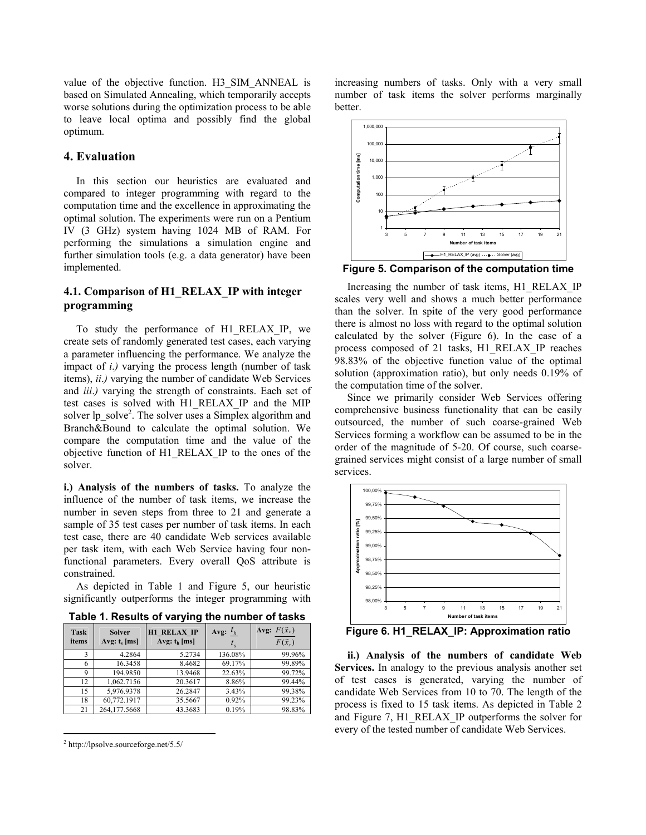value of the objective function. H3\_SIM\_ANNEAL is based on Simulated Annealing, which temporarily accepts worse solutions during the optimization process to be able to leave local optima and possibly find the global optimum.

# **4. Evaluation**

In this section our heuristics are evaluated and compared to integer programming with regard to the computation time and the excellence in approximating the optimal solution. The experiments were run on a Pentium IV (3 GHz) system having 1024 MB of RAM. For performing the simulations a simulation engine and further simulation tools (e.g. a data generator) have been implemented.

# **4.1. Comparison of H1\_RELAX\_IP with integer programming**

To study the performance of H1\_RELAX\_IP, we create sets of randomly generated test cases, each varying a parameter influencing the performance. We analyze the impact of *i*.*)* varying the process length (number of task items), *ii*.*)* varying the number of candidate Web Services and *iii*.*)* varying the strength of constraints. Each set of test cases is solved with H1\_RELAX\_IP and the MIP solver lp\_solve<sup>2</sup>. The solver uses a Simplex algorithm and Branch&Bound to calculate the optimal solution. We compare the computation time and the value of the objective function of H1\_RELAX\_IP to the ones of the solver.

**i.) Analysis of the numbers of tasks.** To analyze the influence of the number of task items, we increase the number in seven steps from three to 21 and generate a sample of 35 test cases per number of task items. In each test case, there are 40 candidate Web services available per task item, with each Web Service having four nonfunctional parameters. Every overall QoS attribute is constrained.

As depicted in Table 1 and Figure 5, our heuristic significantly outperforms the integer programming with

| Task<br>items | <b>Solver</b><br>Avg: $t_s$ [ms] | <b>H1 RELAX IP</b><br>Avg: $t_h$ [ms] | $l_h$<br>Avg:<br>$l_{\rm s}$ | Avg: $F(\vec{x}_h)$<br>$F(\vec{x}_s)$ |
|---------------|----------------------------------|---------------------------------------|------------------------------|---------------------------------------|
| 3             | 4.2864                           | 5.2734                                | 136.08%                      | 99.96%                                |
| 6             | 16.3458                          | 8.4682                                | 69.17%                       | 99.89%                                |
| 9             | 194.9850                         | 13.9468                               | 22.63%                       | 99.72%                                |
| 12            | 1,062.7156                       | 20.3617                               | 8.86%                        | 99.44%                                |
| 15            | 5.976.9378                       | 26.2847                               | 3.43%                        | 99.38%                                |
| 18            | 60,772.1917                      | 35.5667                               | 0.92%                        | 99.23%                                |
| 21            | 264,177.5668                     | 43.3683                               | 0.19%                        | 98.83%                                |

**Table 1. Results of varying the number of tasks** 

<sup>2</sup> http://lpsolve.sourceforge.net/5.5/

 $\overline{a}$ 

increasing numbers of tasks. Only with a very small number of task items the solver performs marginally **better** 



**Figure 5. Comparison of the computation time** 

Increasing the number of task items, H1\_RELAX\_IP scales very well and shows a much better performance than the solver. In spite of the very good performance there is almost no loss with regard to the optimal solution calculated by the solver (Figure 6). In the case of a process composed of 21 tasks, H1\_RELAX\_IP reaches 98.83% of the objective function value of the optimal solution (approximation ratio), but only needs 0.19% of the computation time of the solver.

Since we primarily consider Web Services offering comprehensive business functionality that can be easily outsourced, the number of such coarse-grained Web Services forming a workflow can be assumed to be in the order of the magnitude of 5-20. Of course, such coarsegrained services might consist of a large number of small services.



**Figure 6. H1\_RELAX\_IP: Approximation ratio** 

**ii.) Analysis of the numbers of candidate Web Services.** In analogy to the previous analysis another set of test cases is generated, varying the number of candidate Web Services from 10 to 70. The length of the process is fixed to 15 task items. As depicted in Table 2 and Figure 7, H1\_RELAX\_IP outperforms the solver for every of the tested number of candidate Web Services.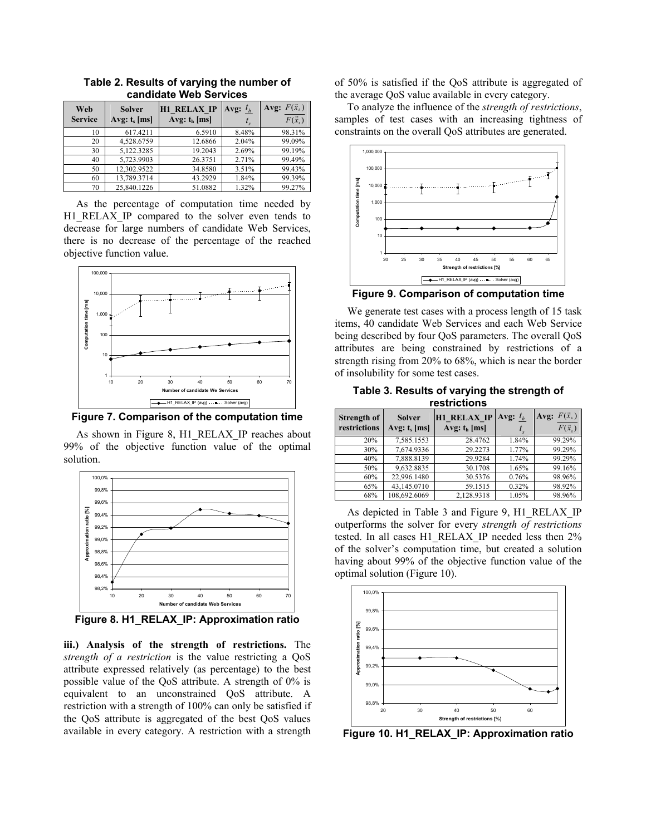| Web<br><b>Service</b> | <b>Solver</b><br>Avg: $t_s$ [ms] | <b>H1 RELAX IP</b><br>Avg: $t_h$ [ms] | Avg: $t_h$ | Avg: $F(\vec{x}_h)$<br>$F(\vec{x},)$ |  |
|-----------------------|----------------------------------|---------------------------------------|------------|--------------------------------------|--|
| 10                    | 617.4211                         | 6.5910                                | 8.48%      | 98.31%                               |  |
| 20                    | 4.528.6759                       | 12.6866                               | 2.04%      | 99.09%                               |  |
| 30                    | 5,122.3285                       | 19.2043                               | 2.69%      | 99.19%                               |  |
| 40                    | 5,723.9903                       | 26.3751                               | 2.71%      | 99.49%                               |  |
| 50                    | 12,302.9522                      | 34.8580                               | 3.51%      | 99.43%                               |  |
| 60                    | 13,789.3714                      | 43.2929                               | 1.84%      | 99.39%                               |  |
| 70                    | 25.840.1226                      | 51.0882                               | 1.32%      | 99.27%                               |  |

**Table 2. Results of varying the number of candidate Web Services** 

As the percentage of computation time needed by H1 RELAX IP compared to the solver even tends to decrease for large numbers of candidate Web Services, there is no decrease of the percentage of the reached objective function value.



**Figure 7. Comparison of the computation time** 

As shown in Figure 8, H1\_RELAX\_IP reaches about 99% of the objective function value of the optimal solution.



**Figure 8. H1\_RELAX\_IP: Approximation ratio** 

**iii.) Analysis of the strength of restrictions.** The *strength of a restriction* is the value restricting a QoS attribute expressed relatively (as percentage) to the best possible value of the QoS attribute. A strength of 0% is equivalent to an unconstrained QoS attribute. A restriction with a strength of 100% can only be satisfied if the QoS attribute is aggregated of the best QoS values available in every category. A restriction with a strength of 50% is satisfied if the QoS attribute is aggregated of the average QoS value available in every category.

To analyze the influence of the *strength of restrictions*, samples of test cases with an increasing tightness of constraints on the overall QoS attributes are generated.



**Figure 9. Comparison of computation time** 

We generate test cases with a process length of 15 task items, 40 candidate Web Services and each Web Service being described by four QoS parameters. The overall QoS attributes are being constrained by restrictions of a strength rising from 20% to 68%, which is near the border of insolubility for some test cases.

**Table 3. Results of varying the strength of restrictions** 

| <b>Strength of</b><br>restrictions | <b>Solver</b><br>Avg: $t_s$ [ms] | <b>H1 RELAX IP</b><br>Avg: $t_h$ [ms] | Avg: $t_h$<br>$t_{s}$ | Avg: $F(\vec{x}_h)$<br>$F(\vec{x}_s)$ |
|------------------------------------|----------------------------------|---------------------------------------|-----------------------|---------------------------------------|
| 20%                                | 7,585.1553                       | 28.4762                               | 1.84%                 | 99.29%                                |
| 30%                                | 7,674.9336                       | 29.2273                               | 1.77%                 | 99.29%                                |
| 40%                                | 7,888.8139                       | 29.9284                               | 1.74%                 | 99.29%                                |
| 50%                                | 9.632.8835                       | 30.1708                               | 1.65%                 | 99.16%                                |
| 60%                                | 22,996.1480                      | 30.5376                               | 0.76%                 | 98.96%                                |
| 65%                                | 43,145.0710                      | 59.1515                               | 0.32%                 | 98.92%                                |
| 68%                                | 108,692.6069                     | 2,128.9318                            | 1.05%                 | 98.96%                                |

As depicted in Table 3 and Figure 9, H1\_RELAX\_IP outperforms the solver for every *strength of restrictions* tested. In all cases H1\_RELAX\_IP needed less then 2% of the solver's computation time, but created a solution having about 99% of the objective function value of the optimal solution (Figure 10).



**Figure 10. H1\_RELAX\_IP: Approximation ratio**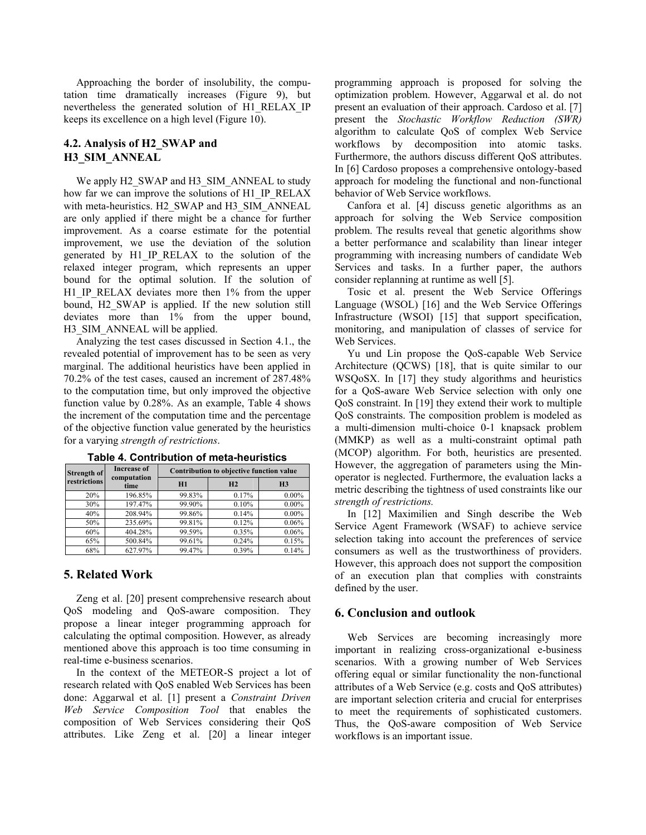Approaching the border of insolubility, the computation time dramatically increases (Figure 9), but nevertheless the generated solution of H1\_RELAX\_IP keeps its excellence on a high level (Figure 10).

## **4.2. Analysis of H2\_SWAP and H3\_SIM\_ANNEAL**

We apply H2\_SWAP and H3\_SIM\_ANNEAL to study how far we can improve the solutions of H1\_IP\_RELAX with meta-heuristics. H2\_SWAP and H3\_SIM\_ANNEAL are only applied if there might be a chance for further improvement. As a coarse estimate for the potential improvement, we use the deviation of the solution generated by H1\_IP\_RELAX to the solution of the relaxed integer program, which represents an upper bound for the optimal solution. If the solution of H1 IP RELAX deviates more then 1% from the upper bound, H2\_SWAP is applied. If the new solution still deviates more than  $1\%$  from the upper bound, H3 SIM ANNEAL will be applied.

Analyzing the test cases discussed in Section 4.1., the revealed potential of improvement has to be seen as very marginal. The additional heuristics have been applied in 70.2% of the test cases, caused an increment of 287.48% to the computation time, but only improved the objective function value by 0.28%. As an example, Table 4 shows the increment of the computation time and the percentage of the objective function value generated by the heuristics for a varying *strength of restrictions*.

| Strength of  | <b>Increase of</b><br>computation<br>time | Contribution to objective function value |                |                |
|--------------|-------------------------------------------|------------------------------------------|----------------|----------------|
| restrictions |                                           | H1                                       | H <sub>2</sub> | H <sub>3</sub> |
| 20%          | 196.85%                                   | 99.83%                                   | 0.17%          | $0.00\%$       |
| 30%          | 197.47%                                   | 99.90%                                   | 0.10%          | $0.00\%$       |
| 40%          | 208.94%                                   | 99.86%                                   | 0.14%          | $0.00\%$       |
| 50%          | 235.69%                                   | 99.81%                                   | 0.12%          | 0.06%          |
| 60%          | 404.28%                                   | 99.59%                                   | 0.35%          | 0.06%          |
| 65%          | 500.84%                                   | 99.61%                                   | 0.24%          | 0.15%          |
| 68%          | 627.97%                                   | 99.47%                                   | 0.39%          | 0.14%          |

**Table 4. Contribution of meta-heuristics** 

## **5. Related Work**

Zeng et al. [20] present comprehensive research about QoS modeling and QoS-aware composition. They propose a linear integer programming approach for calculating the optimal composition. However, as already mentioned above this approach is too time consuming in real-time e-business scenarios.

In the context of the METEOR-S project a lot of research related with QoS enabled Web Services has been done: Aggarwal et al. [1] present a *Constraint Driven Web Service Composition Tool* that enables the composition of Web Services considering their QoS attributes. Like Zeng et al. [20] a linear integer

programming approach is proposed for solving the optimization problem. However, Aggarwal et al. do not present an evaluation of their approach. Cardoso et al. [7] present the *Stochastic Workflow Reduction (SWR)* algorithm to calculate QoS of complex Web Service workflows by decomposition into atomic tasks. Furthermore, the authors discuss different QoS attributes. In [6] Cardoso proposes a comprehensive ontology-based approach for modeling the functional and non-functional behavior of Web Service workflows.

Canfora et al. [4] discuss genetic algorithms as an approach for solving the Web Service composition problem. The results reveal that genetic algorithms show a better performance and scalability than linear integer programming with increasing numbers of candidate Web Services and tasks. In a further paper, the authors consider replanning at runtime as well [5].

Tosic et al. present the Web Service Offerings Language (WSOL) [16] and the Web Service Offerings Infrastructure (WSOI) [15] that support specification, monitoring, and manipulation of classes of service for Web Services.

Yu und Lin propose the QoS-capable Web Service Architecture (QCWS) [18], that is quite similar to our WSQoSX. In [17] they study algorithms and heuristics for a QoS-aware Web Service selection with only one QoS constraint. In [19] they extend their work to multiple QoS constraints. The composition problem is modeled as a multi-dimension multi-choice 0-1 knapsack problem (MMKP) as well as a multi-constraint optimal path (MCOP) algorithm. For both, heuristics are presented. However, the aggregation of parameters using the Minoperator is neglected. Furthermore, the evaluation lacks a metric describing the tightness of used constraints like our *strength of restrictions.* 

In [12] Maximilien and Singh describe the Web Service Agent Framework (WSAF) to achieve service selection taking into account the preferences of service consumers as well as the trustworthiness of providers. However, this approach does not support the composition of an execution plan that complies with constraints defined by the user.

#### **6. Conclusion and outlook**

Web Services are becoming increasingly more important in realizing cross-organizational e-business scenarios. With a growing number of Web Services offering equal or similar functionality the non-functional attributes of a Web Service (e.g. costs and QoS attributes) are important selection criteria and crucial for enterprises to meet the requirements of sophisticated customers. Thus, the QoS-aware composition of Web Service workflows is an important issue.